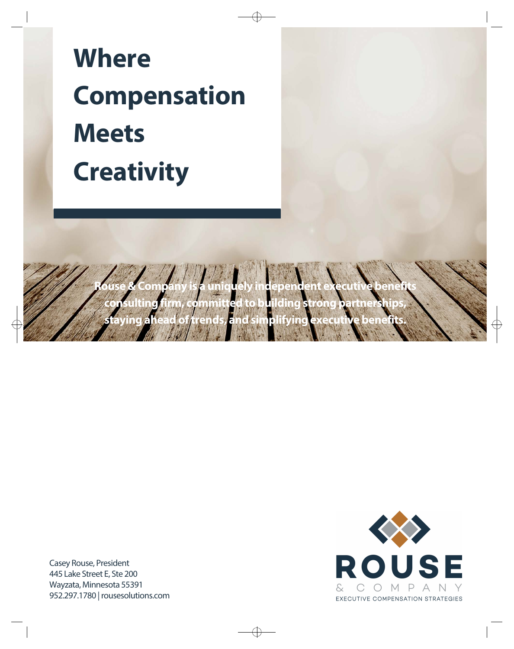# **Where Compensation Meets Creativity**

**Rouse & Company is a uniquely independent executive benefits consulting firm, committed to building strong partnerships, staying ahead oftrends, and simplifying executive benefits.** 

> **ROUSE**  $\&$ COMPANY EXECUTIVE COMPENSATION STRATEGIES

Casey Rouse, President 445 Lake Street E, Ste 200 Wayzata, Minnesota 55391 952.297.1780 | rousesolutions.com